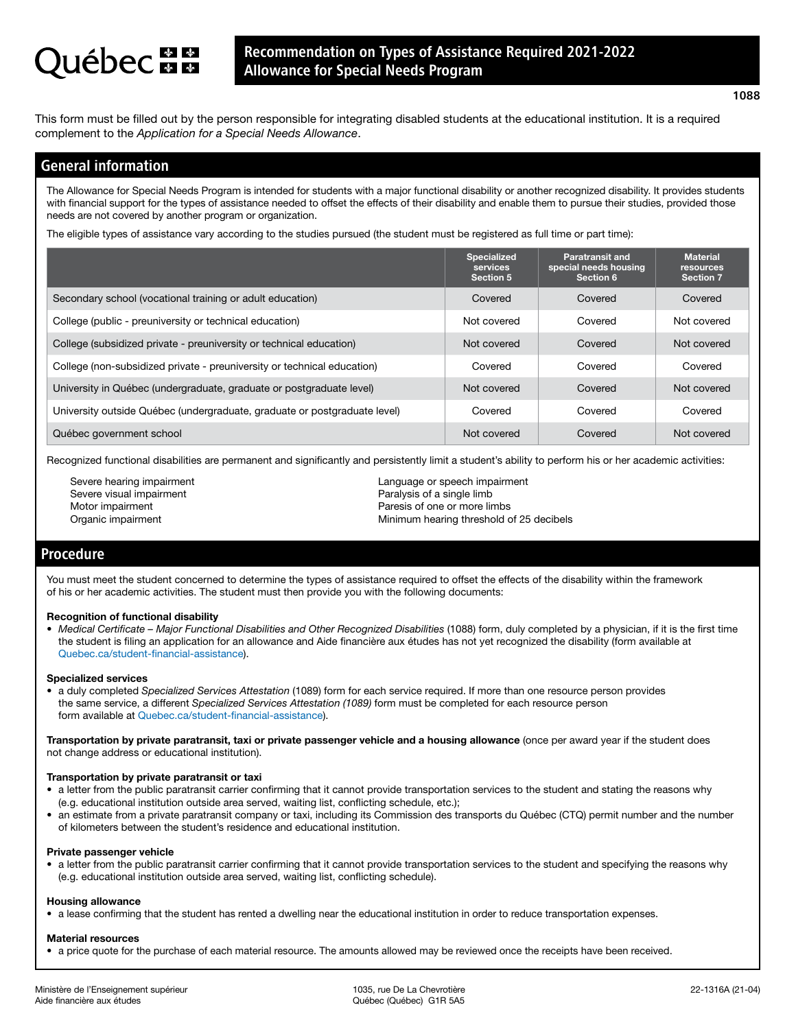# **ébec mm**

## Recommendation on Types of Assistance Required 2021-2022 Allowance for Special Needs Program

This form must be filled out by the person responsible for integrating disabled students at the educational institution. It is a required complement to the *Application for a Special Needs Allowance*.

## General information

The Allowance for Special Needs Program is intended for students with a major functional disability or another recognized disability. It provides students with financial support for the types of assistance needed to offset the effects of their disability and enable them to pursue their studies, provided those needs are not covered by another program or organization.

The eligible types of assistance vary according to the studies pursued (the student must be registered as full time or part time):

|                                                                           | <b>Specialized</b><br>services<br><b>Section 5</b> | <b>Paratransit and</b><br>special needs housing<br>Section 6 | <b>Material</b><br><b>resources</b><br><b>Section 7</b> |
|---------------------------------------------------------------------------|----------------------------------------------------|--------------------------------------------------------------|---------------------------------------------------------|
| Secondary school (vocational training or adult education)                 | Covered                                            | Covered                                                      | Covered                                                 |
| College (public - preuniversity or technical education)                   | Not covered                                        | Covered                                                      | Not covered                                             |
| College (subsidized private - preuniversity or technical education)       | Not covered                                        | Covered                                                      | Not covered                                             |
| College (non-subsidized private - preuniversity or technical education)   | Covered                                            | Covered                                                      | Covered                                                 |
| University in Québec (undergraduate, graduate or postgraduate level)      | Not covered                                        | Covered                                                      | Not covered                                             |
| University outside Québec (undergraduate, graduate or postgraduate level) | Covered                                            | Covered                                                      | Covered                                                 |
| Québec government school                                                  | Not covered                                        | Covered                                                      | Not covered                                             |

Recognized functional disabilities are permanent and significantly and persistently limit a student's ability to perform his or her academic activities:

Severe hearing impairment Severe visual impairment Motor impairment Organic impairment

Language or speech impairment Paralysis of a single limb Paresis of one or more limbs Minimum hearing threshold of 25 decibels

## Procedure

You must meet the student concerned to determine the types of assistance required to offset the effects of the disability within the framework of his or her academic activities. The student must then provide you with the following documents:

## Recognition of functional disability

• Medical Certificate – Major Functional Disabilities and Other Recognized Disabilities (1088) form, duly completed by a physician, if it is the first time the student is filing an application for an allowance and Aide financière aux études has not yet recognized the disability (form available at [Quebec.ca/student-financial-assistance](http://www.Quebec.ca/student-financial-assistance)).

## Specialized services

• a duly completed *Specialized Services Attestation* (1089) form for each service required. If more than one resource person provides the same service, a different *Specialized Services Attestation (1089)* form must be completed for each resource person form available at [Quebec.ca/student-financial-assistance](http://www.Quebec.ca/student-financial-assistance)).

Transportation by private paratransit, taxi or private passenger vehicle and a housing allowance (once per award year if the student does not change address or educational institution).

## Transportation by private paratransit or taxi

- a letter from the public paratransit carrier confirming that it cannot provide transportation services to the student and stating the reasons why (e.g. educational institution outside area served, waiting list, conflicting schedule, etc.);
- an estimate from a private paratransit company or taxi, including its Commission des transports du Québec (CTQ) permit number and the number of kilometers between the student's residence and educational institution.

### Private passenger vehicle

• a letter from the public paratransit carrier confirming that it cannot provide transportation services to the student and specifying the reasons why (e.g. educational institution outside area served, waiting list, conflicting schedule).

## Housing allowance

• a lease confirming that the student has rented a dwelling near the educational institution in order to reduce transportation expenses.

## Material resources

• a price quote for the purchase of each material resource. The amounts allowed may be reviewed once the receipts have been received.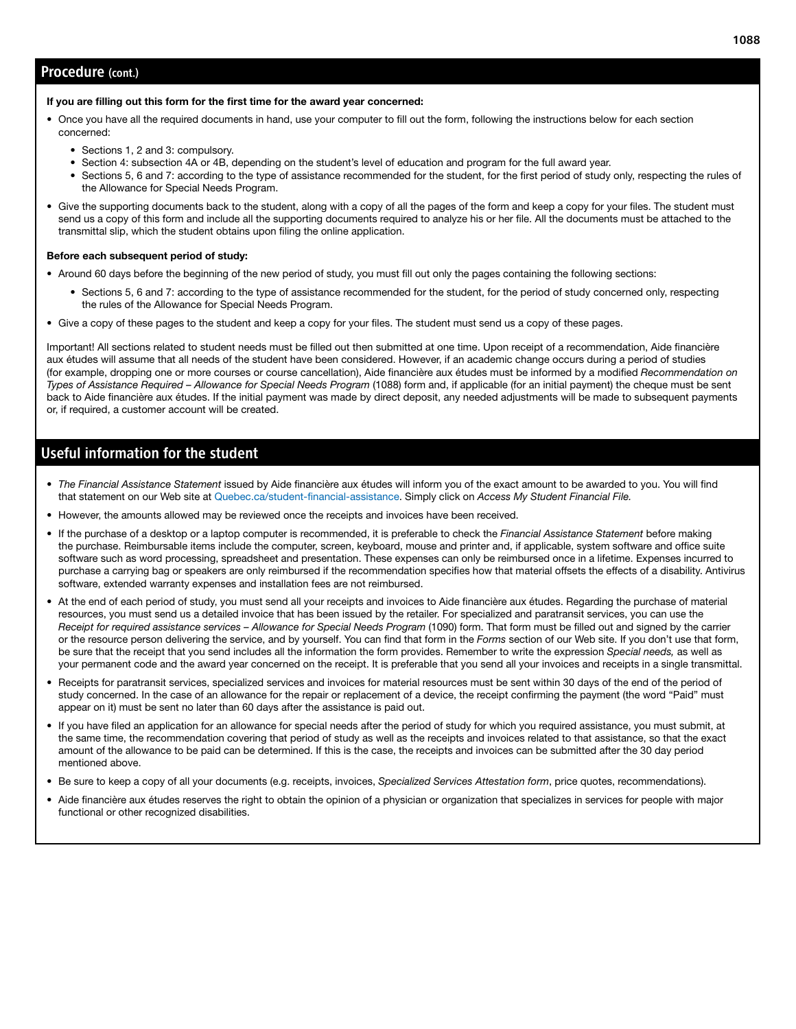## Procedure (cont.)

### If you are filling out this form for the first time for the award year concerned:

- Once you have all the required documents in hand, use your computer to fill out the form, following the instructions below for each section concerned:
	- Sections 1, 2 and 3: compulsory.
	- Section 4: subsection 4A or 4B, depending on the student's level of education and program for the full award year.
	- Sections 5, 6 and 7: according to the type of assistance recommended for the student, for the first period of study only, respecting the rules of the Allowance for Special Needs Program.
- Give the supporting documents back to the student, along with a copy of all the pages of the form and keep a copy for your files. The student must send us a copy of this form and include all the supporting documents required to analyze his or her file. All the documents must be attached to the transmittal slip, which the student obtains upon filing the online application.

## Before each subsequent period of study:

- Around 60 days before the beginning of the new period of study, you must fill out only the pages containing the following sections:
	- Sections 5, 6 and 7: according to the type of assistance recommended for the student, for the period of study concerned only, respecting the rules of the Allowance for Special Needs Program.
- Give a copy of these pages to the student and keep a copy for your files. The student must send us a copy of these pages.

Important! All sections related to student needs must be filled out then submitted at one time. Upon receipt of a recommendation, Aide financière aux études will assume that all needs of the student have been considered. However, if an academic change occurs during a period of studies (for example, dropping one or more courses or course cancellation), Aide financière aux études must be informed by a modified *Recommendation on Types of Assistance Required – Allowance for Special Needs Program* (1088) form and, if applicable (for an initial payment) the cheque must be sent back to Aide financière aux études. If the initial payment was made by direct deposit, any needed adjustments will be made to subsequent payments or, if required, a customer account will be created.

## Useful information for the student

- *The Financial Assistance Statement* issued by Aide financière aux études will inform you of the exact amount to be awarded to you. You will find that statement on our Web site at [Quebec.ca/student-financial-assistance](http://www.Quebec.ca/student-financial-assistance). Simply click on *Access My Student Financial File.*
- However, the amounts allowed may be reviewed once the receipts and invoices have been received.
- If the purchase of a desktop or a laptop computer is recommended, it is preferable to check the *Financial Assistance Statement* before making the purchase. Reimbursable items include the computer, screen, keyboard, mouse and printer and, if applicable, system software and office suite software such as word processing, spreadsheet and presentation. These expenses can only be reimbursed once in a lifetime. Expenses incurred to purchase a carrying bag or speakers are only reimbursed if the recommendation specifies how that material offsets the effects of a disability. Antivirus software, extended warranty expenses and installation fees are not reimbursed.
- At the end of each period of study, you must send all your receipts and invoices to Aide financière aux études. Regarding the purchase of material resources, you must send us a detailed invoice that has been issued by the retailer. For specialized and paratransit services, you can use the *Receipt for required assistance services – Allowance for Special Needs Program* (1090) form. That form must be filled out and signed by the carrier or the resource person delivering the service, and by yourself. You can find that form in the *Forms* section of our Web site. If you don't use that form, be sure that the receipt that you send includes all the information the form provides. Remember to write the expression *Special needs,* as well as your permanent code and the award year concerned on the receipt. It is preferable that you send all your invoices and receipts in a single transmittal.
- Receipts for paratransit services, specialized services and invoices for material resources must be sent within 30 days of the end of the period of study concerned. In the case of an allowance for the repair or replacement of a device, the receipt confirming the payment (the word "Paid" must appear on it) must be sent no later than 60 days after the assistance is paid out.
- If you have filed an application for an allowance for special needs after the period of study for which you required assistance, you must submit, at the same time, the recommendation covering that period of study as well as the receipts and invoices related to that assistance, so that the exact amount of the allowance to be paid can be determined. If this is the case, the receipts and invoices can be submitted after the 30 day period mentioned above.
- Be sure to keep a copy of all your documents (e.g. receipts, invoices, *Specialized Services Attestation form*, price quotes, recommendations).
- Aide financière aux études reserves the right to obtain the opinion of a physician or organization that specializes in services for people with major functional or other recognized disabilities.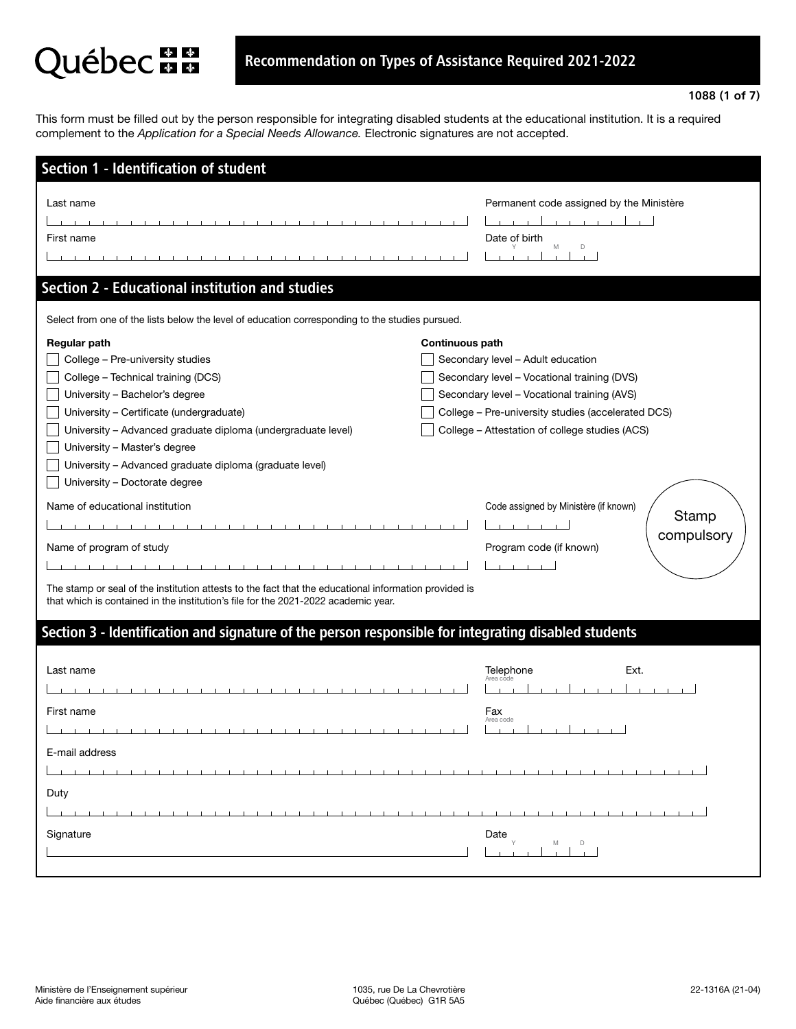# Québec au

This form must be filled out by the person responsible for integrating disabled students at the educational institution. It is a required complement to the *Application for a Special Needs Allowance.* Electronic signatures are not accepted.

| Permanent code assigned by the Ministère<br>Date of birth<br>M<br>D                                                                                                                                                                                                                                                                                                                                                                                                   |
|-----------------------------------------------------------------------------------------------------------------------------------------------------------------------------------------------------------------------------------------------------------------------------------------------------------------------------------------------------------------------------------------------------------------------------------------------------------------------|
|                                                                                                                                                                                                                                                                                                                                                                                                                                                                       |
| Select from one of the lists below the level of education corresponding to the studies pursued.                                                                                                                                                                                                                                                                                                                                                                       |
| <b>Continuous path</b><br>Secondary level - Adult education<br>Secondary level - Vocational training (DVS)<br>Secondary level - Vocational training (AVS)<br>College - Pre-university studies (accelerated DCS)<br>College - Attestation of college studies (ACS)<br>Code assigned by Ministère (if known)<br>Stamp<br>compulsory<br>Program code (if known)<br>The stamp or seal of the institution attests to the fact that the educational information provided is |
| Section 3 - Identification and signature of the person responsible for integrating disabled students                                                                                                                                                                                                                                                                                                                                                                  |
| Ext.<br>Telephone<br>Area code<br>Fax<br>Area code<br>Date<br>D<br>M                                                                                                                                                                                                                                                                                                                                                                                                  |
|                                                                                                                                                                                                                                                                                                                                                                                                                                                                       |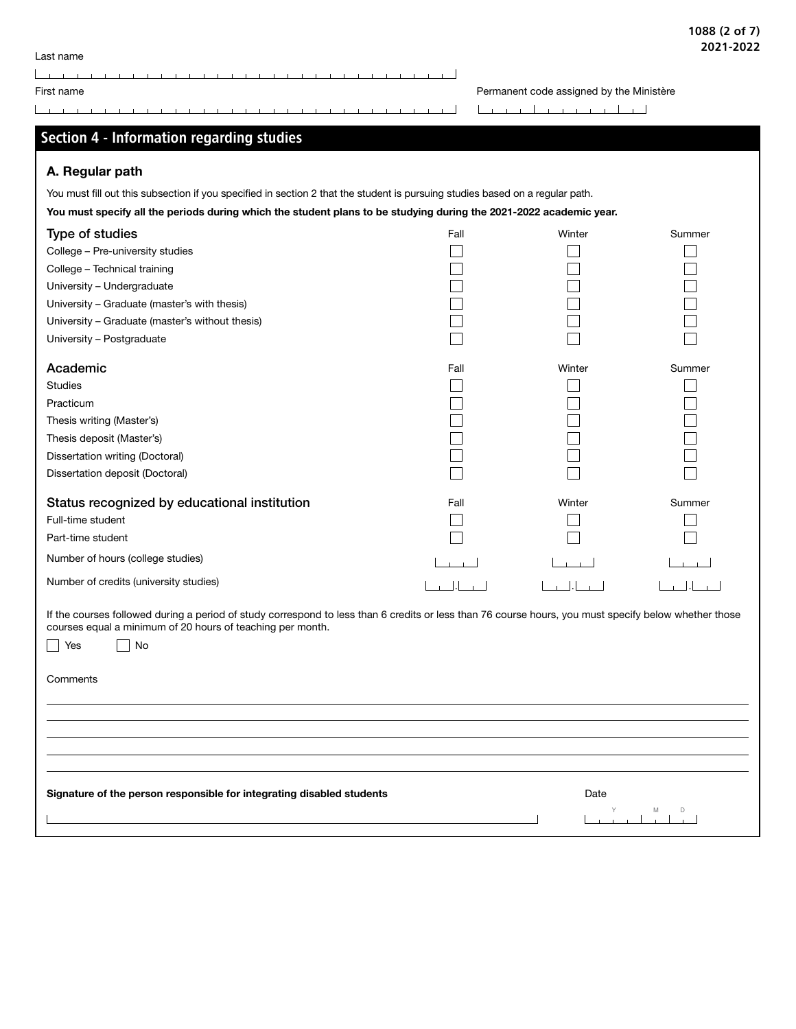| First name                                                                                                                                                                                                          |      | Permanent code assigned by the Ministère |        |
|---------------------------------------------------------------------------------------------------------------------------------------------------------------------------------------------------------------------|------|------------------------------------------|--------|
|                                                                                                                                                                                                                     |      |                                          |        |
| Section 4 - Information regarding studies                                                                                                                                                                           |      |                                          |        |
|                                                                                                                                                                                                                     |      |                                          |        |
| A. Regular path                                                                                                                                                                                                     |      |                                          |        |
| You must fill out this subsection if you specified in section 2 that the student is pursuing studies based on a regular path.                                                                                       |      |                                          |        |
| You must specify all the periods during which the student plans to be studying during the 2021-2022 academic year.                                                                                                  |      |                                          |        |
| Type of studies                                                                                                                                                                                                     | Fall | Winter                                   | Summer |
| College - Pre-university studies                                                                                                                                                                                    |      |                                          |        |
| College - Technical training                                                                                                                                                                                        |      |                                          |        |
| University - Undergraduate                                                                                                                                                                                          |      |                                          |        |
| University - Graduate (master's with thesis)                                                                                                                                                                        |      |                                          |        |
| University - Graduate (master's without thesis)                                                                                                                                                                     |      |                                          |        |
| University - Postgraduate                                                                                                                                                                                           |      |                                          |        |
| Academic                                                                                                                                                                                                            | Fall | Winter                                   | Summer |
| <b>Studies</b>                                                                                                                                                                                                      |      |                                          |        |
| Practicum                                                                                                                                                                                                           |      |                                          |        |
| Thesis writing (Master's)                                                                                                                                                                                           |      |                                          |        |
| Thesis deposit (Master's)                                                                                                                                                                                           |      |                                          |        |
| Dissertation writing (Doctoral)                                                                                                                                                                                     |      |                                          |        |
| Dissertation deposit (Doctoral)                                                                                                                                                                                     |      |                                          |        |
| Status recognized by educational institution                                                                                                                                                                        | Fall | Winter                                   | Summer |
| Full-time student                                                                                                                                                                                                   |      |                                          |        |
| Part-time student                                                                                                                                                                                                   |      |                                          |        |
| Number of hours (college studies)                                                                                                                                                                                   |      |                                          |        |
| Number of credits (university studies)                                                                                                                                                                              |      |                                          |        |
| If the courses followed during a period of study correspond to less than 6 credits or less than 76 course hours, you must specify below whether those<br>courses equal a minimum of 20 hours of teaching per month. |      |                                          |        |
| No<br>Yes                                                                                                                                                                                                           |      |                                          |        |
|                                                                                                                                                                                                                     |      |                                          |        |
| Comments                                                                                                                                                                                                            |      |                                          |        |
|                                                                                                                                                                                                                     |      |                                          |        |
|                                                                                                                                                                                                                     |      |                                          |        |
|                                                                                                                                                                                                                     |      |                                          |        |
|                                                                                                                                                                                                                     |      |                                          |        |
|                                                                                                                                                                                                                     |      |                                          |        |
|                                                                                                                                                                                                                     |      |                                          |        |
| Signature of the person responsible for integrating disabled students                                                                                                                                               |      | Date                                     |        |
|                                                                                                                                                                                                                     |      |                                          |        |

**The Committee Committee** 

 $\mathbf{I}$  $\mathbf{L}$ 

Last name

 $\sim$  $\overline{1}$   $\overline{1}$  $\mathbf{L}$ 

 $\Box$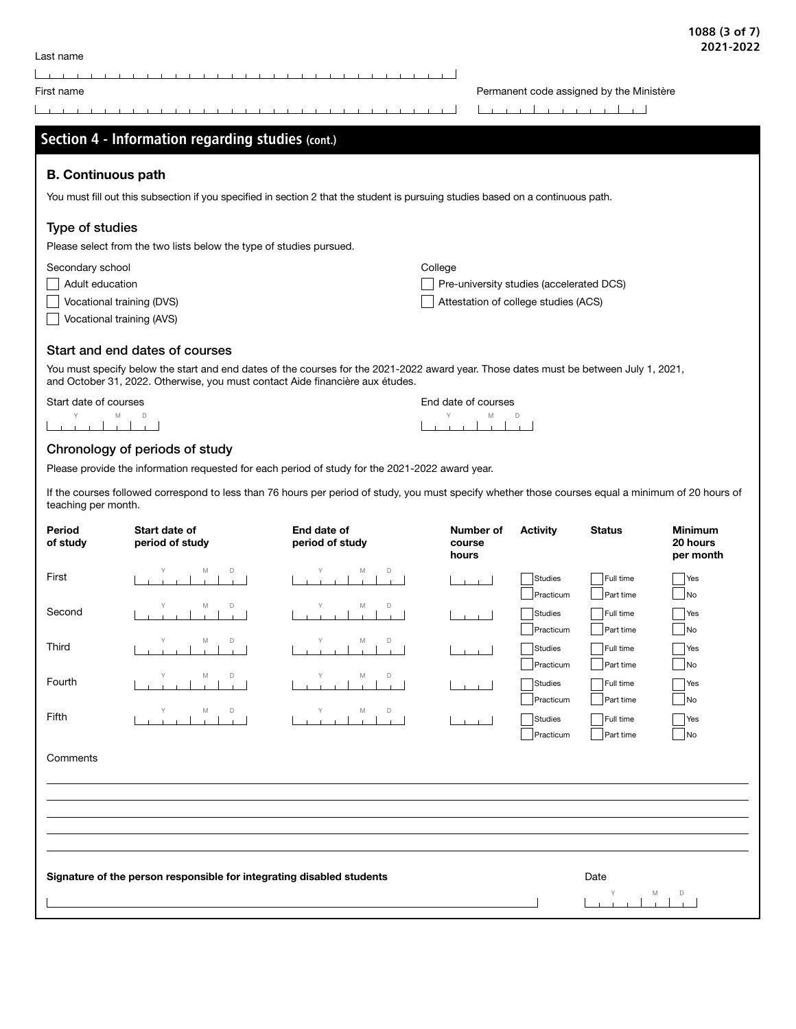| Last name |  |  |  |
|-----------|--|--|--|
|           |  |  |  |

 $\overline{\phantom{a}}$ the contract of the contract of  $\mathbf{r}$  $\mathbf{L}$  $\mathbf{r}$  $\mathbf{I}$ 

First name **Permanent code assigned by the Ministère Permanent code assigned by the Ministère** 

|                           | Section 4 - Information regarding studies (cont.)                                                                                                                                                                      |                                |                                          |                      |                        |                                         |
|---------------------------|------------------------------------------------------------------------------------------------------------------------------------------------------------------------------------------------------------------------|--------------------------------|------------------------------------------|----------------------|------------------------|-----------------------------------------|
| <b>B. Continuous path</b> |                                                                                                                                                                                                                        |                                |                                          |                      |                        |                                         |
|                           | You must fill out this subsection if you specified in section 2 that the student is pursuing studies based on a continuous path.                                                                                       |                                |                                          |                      |                        |                                         |
| Type of studies           |                                                                                                                                                                                                                        |                                |                                          |                      |                        |                                         |
|                           | Please select from the two lists below the type of studies pursued.                                                                                                                                                    |                                |                                          |                      |                        |                                         |
| Secondary school          |                                                                                                                                                                                                                        |                                | College                                  |                      |                        |                                         |
| Adult education           |                                                                                                                                                                                                                        |                                | Pre-university studies (accelerated DCS) |                      |                        |                                         |
| Vocational training (DVS) |                                                                                                                                                                                                                        |                                | Attestation of college studies (ACS)     |                      |                        |                                         |
| Vocational training (AVS) |                                                                                                                                                                                                                        |                                |                                          |                      |                        |                                         |
|                           | Start and end dates of courses                                                                                                                                                                                         |                                |                                          |                      |                        |                                         |
|                           | You must specify below the start and end dates of the courses for the 2021-2022 award year. Those dates must be between July 1, 2021,<br>and October 31, 2022. Otherwise, you must contact Aide financière aux études. |                                |                                          |                      |                        |                                         |
| Start date of courses     |                                                                                                                                                                                                                        |                                | End date of courses                      |                      |                        |                                         |
| M                         | D                                                                                                                                                                                                                      |                                | M                                        | D                    |                        |                                         |
|                           | Chronology of periods of study                                                                                                                                                                                         |                                |                                          |                      |                        |                                         |
|                           | Please provide the information requested for each period of study for the 2021-2022 award year.                                                                                                                        |                                |                                          |                      |                        |                                         |
| teaching per month.       | If the courses followed correspond to less than 76 hours per period of study, you must specify whether those courses equal a minimum of 20 hours of                                                                    |                                |                                          |                      |                        |                                         |
| Period<br>of study        | Start date of<br>period of study                                                                                                                                                                                       | End date of<br>period of study | Number of<br>course<br>hours             | <b>Activity</b>      | <b>Status</b>          | <b>Minimum</b><br>20 hours<br>per month |
| First                     | M<br>D                                                                                                                                                                                                                 | M<br>D                         |                                          | Studies<br>Practicum | Full time<br>Part time | Yes<br>No                               |
| Second                    | M                                                                                                                                                                                                                      | M<br>D                         |                                          | Studies              | Full time              | Yes                                     |
|                           |                                                                                                                                                                                                                        |                                |                                          | Practicum            | Part time              | No                                      |
| Third                     | M<br>D                                                                                                                                                                                                                 | M<br>D                         |                                          | <b>Studies</b>       | Full time              | Yes                                     |
|                           | M<br>D                                                                                                                                                                                                                 | M<br>D                         |                                          | Practicum            | Part time              | No                                      |
| Fourth                    |                                                                                                                                                                                                                        |                                |                                          | Studies              | Full time              | Yes                                     |
|                           | D<br>M                                                                                                                                                                                                                 | D<br>M                         |                                          | Practicum            | Part time              | No                                      |
| Fifth                     |                                                                                                                                                                                                                        |                                |                                          | <b>Studies</b>       | Full time              | Yes                                     |
| Comments                  |                                                                                                                                                                                                                        |                                |                                          | Practicum            | Part time              | No                                      |

Signature of the person responsible for integrating disabled students Date Date Y M D<br>
I | | | | |  $\overline{\phantom{a}}$  $\overline{\phantom{a}}$  $\mathbf{I}$  $\mathbf{I}$  $\mathbf{1}$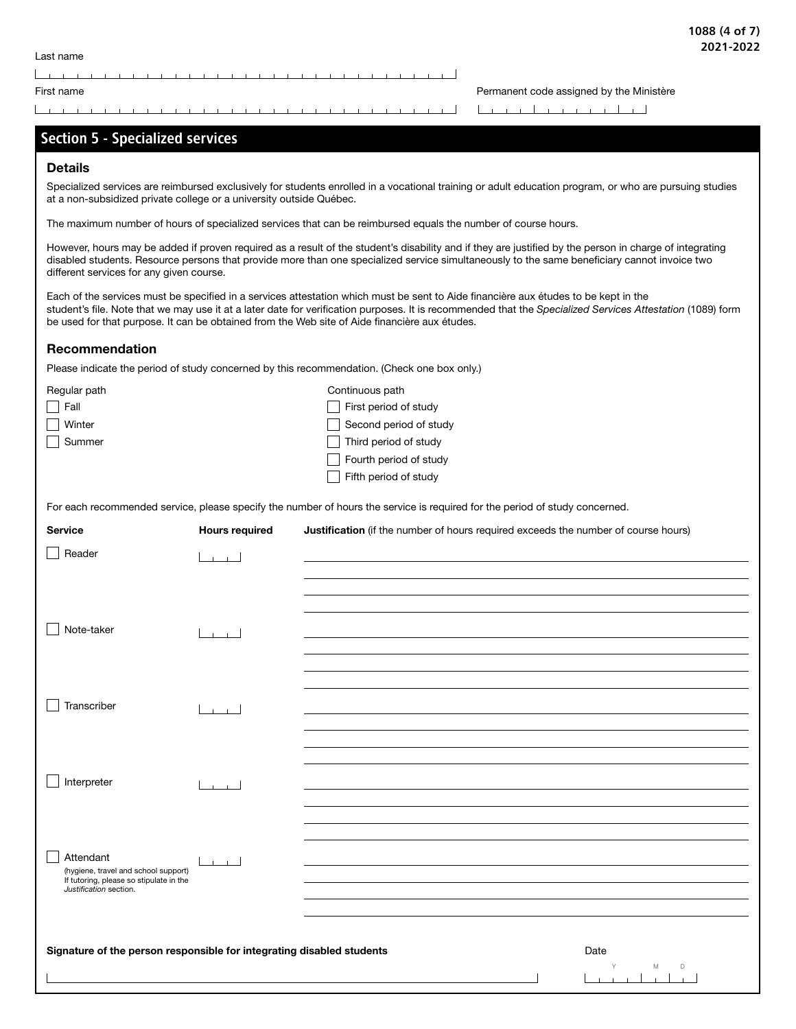Section 5 - Specialized services

First name **Permanent code assigned by the Ministère Permanent code assigned by the Ministère** 

## Details Specialized services are reimbursed exclusively for students enrolled in a vocational training or adult education program, or who are pursuing studies at a non-subsidized private college or a university outside Québec. The maximum number of hours of specialized services that can be reimbursed equals the number of course hours. However, hours may be added if proven required as a result of the student's disability and if they are justified by the person in charge of integrating disabled students. Resource persons that provide more than one specialized service simultaneously to the same beneficiary cannot invoice two different services for any given course. Each of the services must be specified in a services attestation which must be sent to Aide financière aux études to be kept in the student's file. Note that we may use it at a later date for verification purposes. It is recommended that the *Specialized Services Attestation* (1089) form be used for that purpose. It can be obtained from the Web site of Aide financière aux études. Recommendation Please indicate the period of study concerned by this recommendation. (Check one box only.) Regular path **Continuous path** Continuous path First period of study First period of study □ Winter Second period of study Summer Summer Third period of study  $\Box$  Fourth period of study  $\Box$  Fifth period of study For each recommended service, please specify the number of hours the service is required for the period of study concerned. Service **Hours required** Justification (if the number of hours required exceeds the number of course hours)  $\Box$  Reader  $\Box$ □ Note-taker المسمط  $\Box$  Transcriber  $\Box$ | Interpreter المستبطأ | Attendant المستبط  $\mathsf{L}$ (hygiene, travel and school support) If tutoring, please so stipulate in the *Justification* section. Signature of the person responsible for integrating disabled students **Date** Date Y M D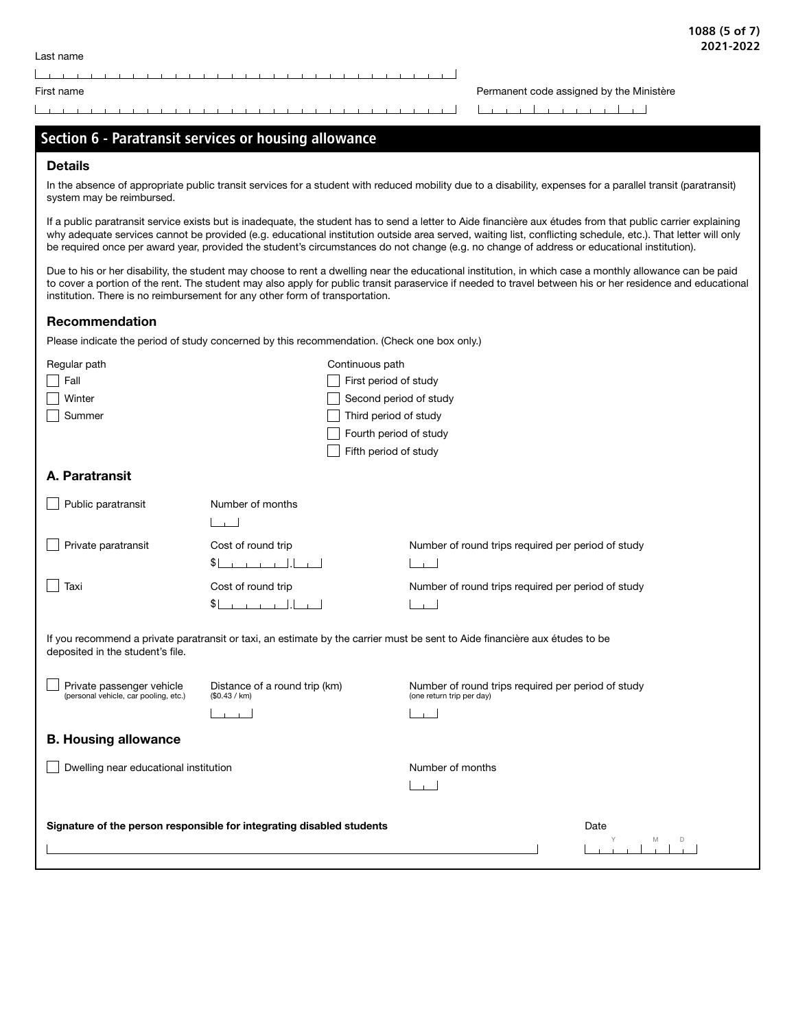<u> La maria de la caractería de la caractería de la caractería de la caractería de la caractería de la caractería de la caractería de la caractería de la caractería de la caractería de la caractería de la caractería de la c</u>

## 1088 (5 of 7) 2021-2022

First name **Permanent code assigned by the Ministère** Permanent code assigned by the Ministère

| Section 6 - Paratransit services or housing allowance                                                                                                                                                                                                                                                                                                                                                                                                                       |                                                |                                                                                 |        |
|-----------------------------------------------------------------------------------------------------------------------------------------------------------------------------------------------------------------------------------------------------------------------------------------------------------------------------------------------------------------------------------------------------------------------------------------------------------------------------|------------------------------------------------|---------------------------------------------------------------------------------|--------|
| <b>Details</b>                                                                                                                                                                                                                                                                                                                                                                                                                                                              |                                                |                                                                                 |        |
| In the absence of appropriate public transit services for a student with reduced mobility due to a disability, expenses for a parallel transit (paratransit)<br>system may be reimbursed.                                                                                                                                                                                                                                                                                   |                                                |                                                                                 |        |
| If a public paratransit service exists but is inadequate, the student has to send a letter to Aide financière aux études from that public carrier explaining<br>why adequate services cannot be provided (e.g. educational institution outside area served, waiting list, conflicting schedule, etc.). That letter will only<br>be required once per award year, provided the student's circumstances do not change (e.g. no change of address or educational institution). |                                                |                                                                                 |        |
| Due to his or her disability, the student may choose to rent a dwelling near the educational institution, in which case a monthly allowance can be paid<br>to cover a portion of the rent. The student may also apply for public transit paraservice if needed to travel between his or her residence and educational<br>institution. There is no reimbursement for any other form of transportation.                                                                       |                                                |                                                                                 |        |
| Recommendation                                                                                                                                                                                                                                                                                                                                                                                                                                                              |                                                |                                                                                 |        |
| Please indicate the period of study concerned by this recommendation. (Check one box only.)                                                                                                                                                                                                                                                                                                                                                                                 |                                                |                                                                                 |        |
| Regular path                                                                                                                                                                                                                                                                                                                                                                                                                                                                | Continuous path                                |                                                                                 |        |
| Fall                                                                                                                                                                                                                                                                                                                                                                                                                                                                        | First period of study                          |                                                                                 |        |
| Winter                                                                                                                                                                                                                                                                                                                                                                                                                                                                      | Second period of study                         |                                                                                 |        |
| Summer                                                                                                                                                                                                                                                                                                                                                                                                                                                                      | Third period of study                          |                                                                                 |        |
|                                                                                                                                                                                                                                                                                                                                                                                                                                                                             | Fourth period of study                         |                                                                                 |        |
|                                                                                                                                                                                                                                                                                                                                                                                                                                                                             | Fifth period of study                          |                                                                                 |        |
| A. Paratransit                                                                                                                                                                                                                                                                                                                                                                                                                                                              |                                                |                                                                                 |        |
| Public paratransit                                                                                                                                                                                                                                                                                                                                                                                                                                                          | Number of months                               |                                                                                 |        |
| $\sim$ $\sim$ $\sim$                                                                                                                                                                                                                                                                                                                                                                                                                                                        |                                                |                                                                                 |        |
| Private paratransit                                                                                                                                                                                                                                                                                                                                                                                                                                                         | Cost of round trip                             | Number of round trips required per period of study                              |        |
|                                                                                                                                                                                                                                                                                                                                                                                                                                                                             | $\sum_{i=1}^{n}$                               |                                                                                 |        |
| Taxi                                                                                                                                                                                                                                                                                                                                                                                                                                                                        | Cost of round trip                             | Number of round trips required per period of study                              |        |
|                                                                                                                                                                                                                                                                                                                                                                                                                                                                             | $L_{\perp}$                                    |                                                                                 |        |
|                                                                                                                                                                                                                                                                                                                                                                                                                                                                             |                                                |                                                                                 |        |
| If you recommend a private paratransit or taxi, an estimate by the carrier must be sent to Aide financière aux études to be<br>deposited in the student's file.                                                                                                                                                                                                                                                                                                             |                                                |                                                                                 |        |
| Private passenger vehicle<br>(personal vehicle, car pooling, etc.)                                                                                                                                                                                                                                                                                                                                                                                                          | Distance of a round trip (km)<br>(\$0.43 / km) | Number of round trips required per period of study<br>(one return trip per day) |        |
|                                                                                                                                                                                                                                                                                                                                                                                                                                                                             |                                                |                                                                                 |        |
| <b>B. Housing allowance</b>                                                                                                                                                                                                                                                                                                                                                                                                                                                 |                                                |                                                                                 |        |
| Dwelling near educational institution                                                                                                                                                                                                                                                                                                                                                                                                                                       |                                                | Number of months                                                                |        |
|                                                                                                                                                                                                                                                                                                                                                                                                                                                                             |                                                |                                                                                 |        |
|                                                                                                                                                                                                                                                                                                                                                                                                                                                                             |                                                |                                                                                 |        |
| Signature of the person responsible for integrating disabled students                                                                                                                                                                                                                                                                                                                                                                                                       |                                                |                                                                                 | Date   |
|                                                                                                                                                                                                                                                                                                                                                                                                                                                                             |                                                |                                                                                 | M<br>D |
|                                                                                                                                                                                                                                                                                                                                                                                                                                                                             |                                                |                                                                                 |        |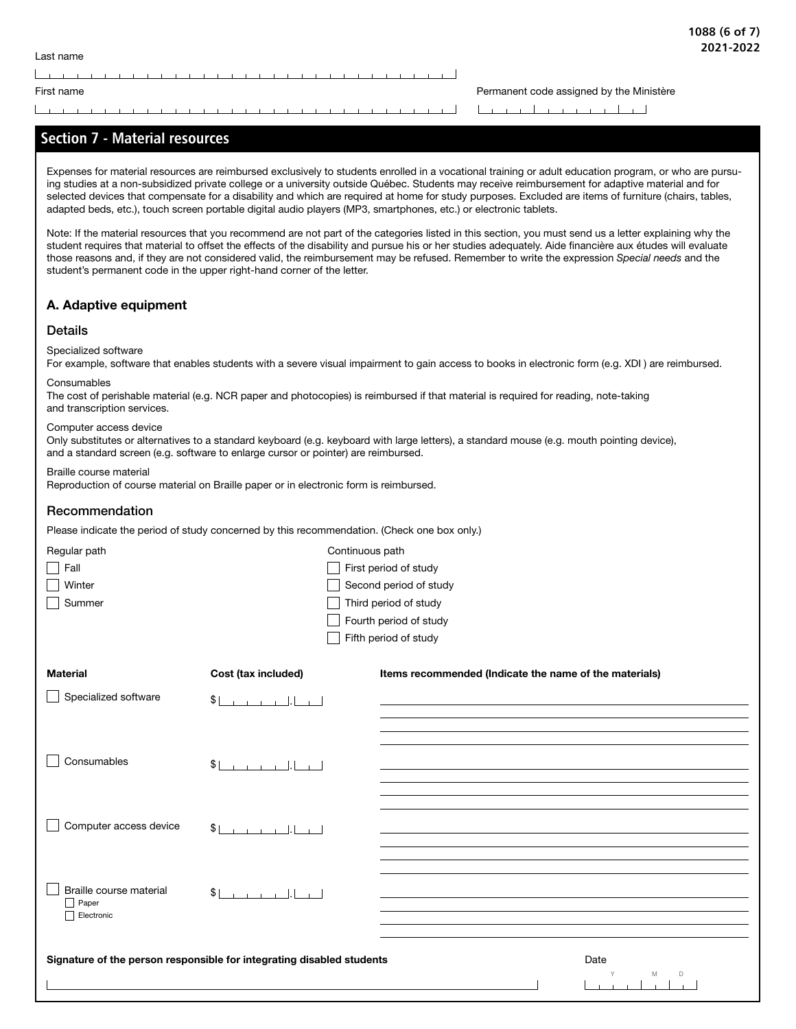the contract of the contract of the contract of the contract of the contract of

First name **Permanent code assigned by the Ministère Permanent code assigned by the Ministère** 

## <u> La característica de la característica de la característica de la característica de la característica de la c</u>

## Section 7 - Material resources

Expenses for material resources are reimbursed exclusively to students enrolled in a vocational training or adult education program, or who are pursuing studies at a non-subsidized private college or a university outside Québec. Students may receive reimbursement for adaptive material and for selected devices that compensate for a disability and which are required at home for study purposes. Excluded are items of furniture (chairs, tables, adapted beds, etc.), touch screen portable digital audio players (MP3, smartphones, etc.) or electronic tablets.

Note: If the material resources that you recommend are not part of the categories listed in this section, you must send us a letter explaining why the student requires that material to offset the effects of the disability and pursue his or her studies adequately. Aide financière aux études will evaluate those reasons and, if they are not considered valid, the reimbursement may be refused. Remember to write the expression *Special needs* and the student's permanent code in the upper right-hand corner of the letter.

## A. Adaptive equipment

## Details

## Specialized software

For example, software that enables students with a severe visual impairment to gain access to books in electronic form (e.g. XDI ) are reimbursed.

### **Consumables**

The cost of perishable material (e.g. NCR paper and photocopies) is reimbursed if that material is required for reading, note-taking and transcription services.

## Computer access device

Only substitutes or alternatives to a standard keyboard (e.g. keyboard with large letters), a standard mouse (e.g. mouth pointing device), and a standard screen (e.g. software to enlarge cursor or pointer) are reimbursed.

### Braille course material

Reproduction of course material on Braille paper or in electronic form is reimbursed.

## Recommendation

Please indicate the period of study concerned by this recommendation. (Check one box only.)

| Regular path            | Continuous path                                                       |                                                        |             |
|-------------------------|-----------------------------------------------------------------------|--------------------------------------------------------|-------------|
| Fall                    |                                                                       | First period of study                                  |             |
| Winter                  |                                                                       | Second period of study                                 |             |
| Summer                  |                                                                       | Third period of study                                  |             |
|                         |                                                                       | Fourth period of study                                 |             |
|                         |                                                                       | Fifth period of study                                  |             |
|                         |                                                                       |                                                        |             |
| <b>Material</b>         | Cost (tax included)                                                   | Items recommended (Indicate the name of the materials) |             |
| Specialized software    | $$1 \t1 \t1 \t1 \t1 \t1 \t1 \t1$                                      |                                                        |             |
|                         |                                                                       |                                                        |             |
|                         |                                                                       |                                                        |             |
| Consumables             |                                                                       |                                                        |             |
|                         | $$1 \t1 \t1 \t1 \t1 \t1$                                              |                                                        |             |
|                         |                                                                       |                                                        |             |
|                         |                                                                       |                                                        |             |
| Computer access device  | \$                                                                    |                                                        |             |
|                         |                                                                       |                                                        |             |
|                         |                                                                       |                                                        |             |
| Braille course material | \$                                                                    |                                                        |             |
| $\Box$ Paper            |                                                                       |                                                        |             |
| Electronic              |                                                                       |                                                        |             |
|                         |                                                                       |                                                        |             |
|                         | Signature of the person responsible for integrating disabled students |                                                        | Date        |
|                         |                                                                       |                                                        | Υ<br>M<br>D |
|                         |                                                                       |                                                        |             |